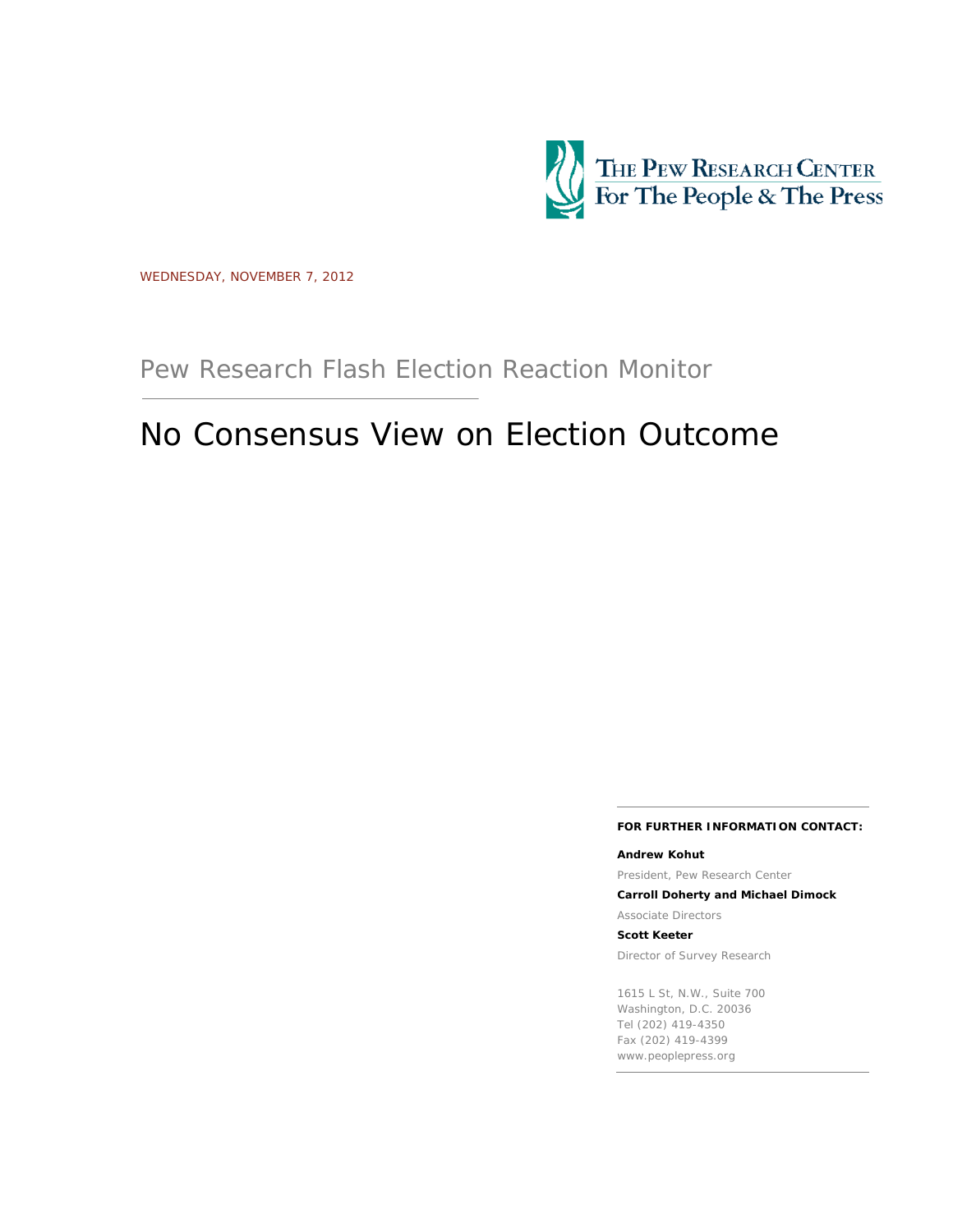

WEDNESDAY, NOVEMBER 7, 2012

Pew Research Flash Election Reaction Monitor

# No Consensus View on Election Outcome

#### **FOR FURTHER INFORMATION CONTACT:**

**Andrew Kohut** President, Pew Research Center

**Carroll Doherty and Michael Dimock**

Associate Directors

**Scott Keeter**

Director of Survey Research

1615 L St, N.W., Suite 700 Washington, D.C. 20036 Tel (202) 419-4350 Fax (202) 419-4399 www.peoplepress.org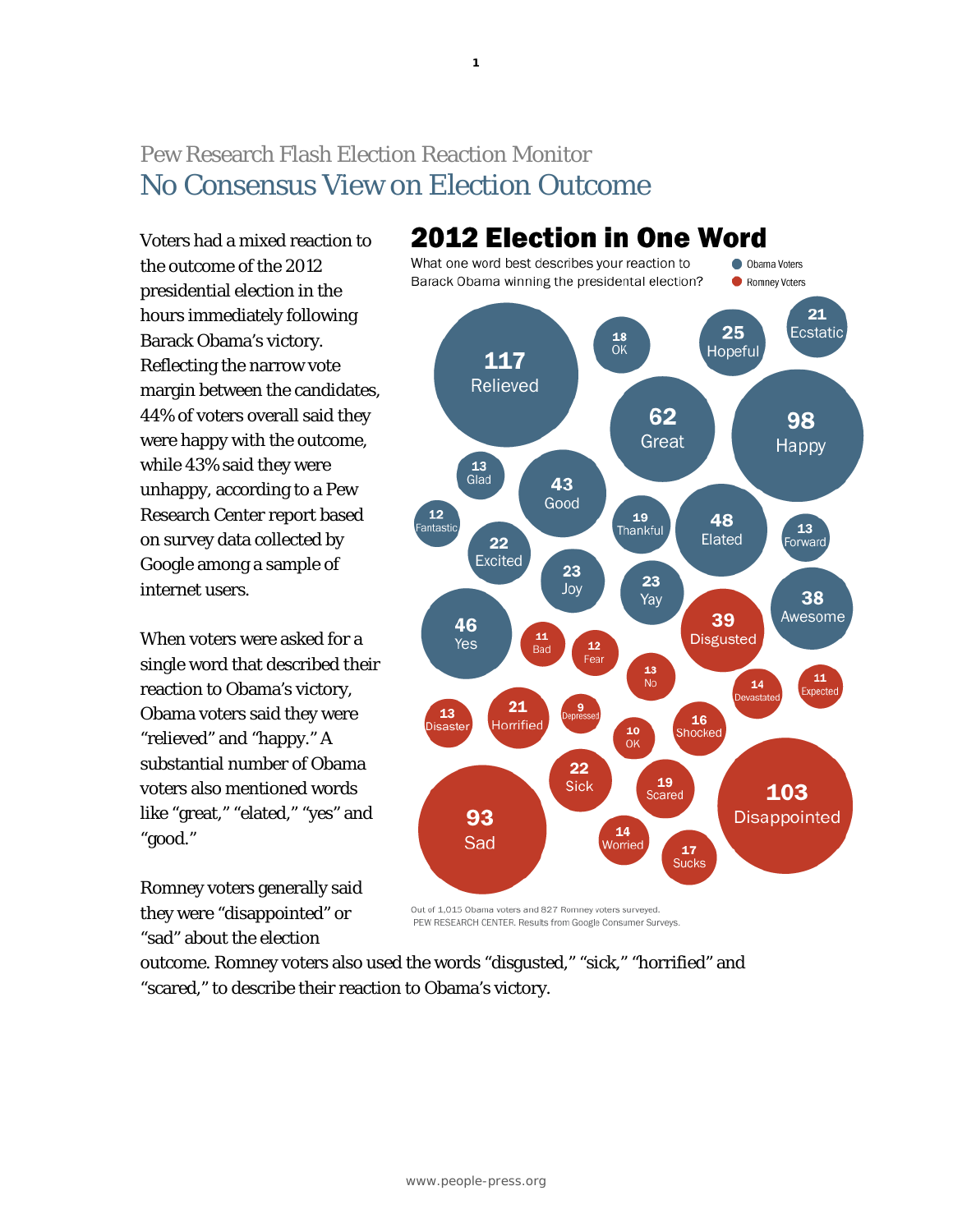# Pew Research Flash Election Reaction Monitor No Consensus View on Election Outcome

Voters had a mixed reaction to the outcome of the 2012 presidential election in the hours immediately following Barack Obama's victory. Reflecting the narrow vote margin between the candidates, 44% of voters overall said they were happy with the outcome, while 43% said they were unhappy, according to a Pew Research Center report based on survey data collected by Google among a sample of internet users.

When voters were asked for a single word that described their reaction to Obama's victory, Obama voters said they were "relieved" and "happy." A substantial number of Obama voters also mentioned words like "great," "elated," "yes" and "good."

Romney voters generally said they were "disappointed" or "sad" about the election



Out of 1,015 Obama voters and 827 Romney voters surveyed. PEW RESEARCH CENTER. Results from Google Consumer Surveys.

outcome. Romney voters also used the words "disgusted," "sick," "horrified" and "scared," to describe their reaction to Obama's victory.

## **1**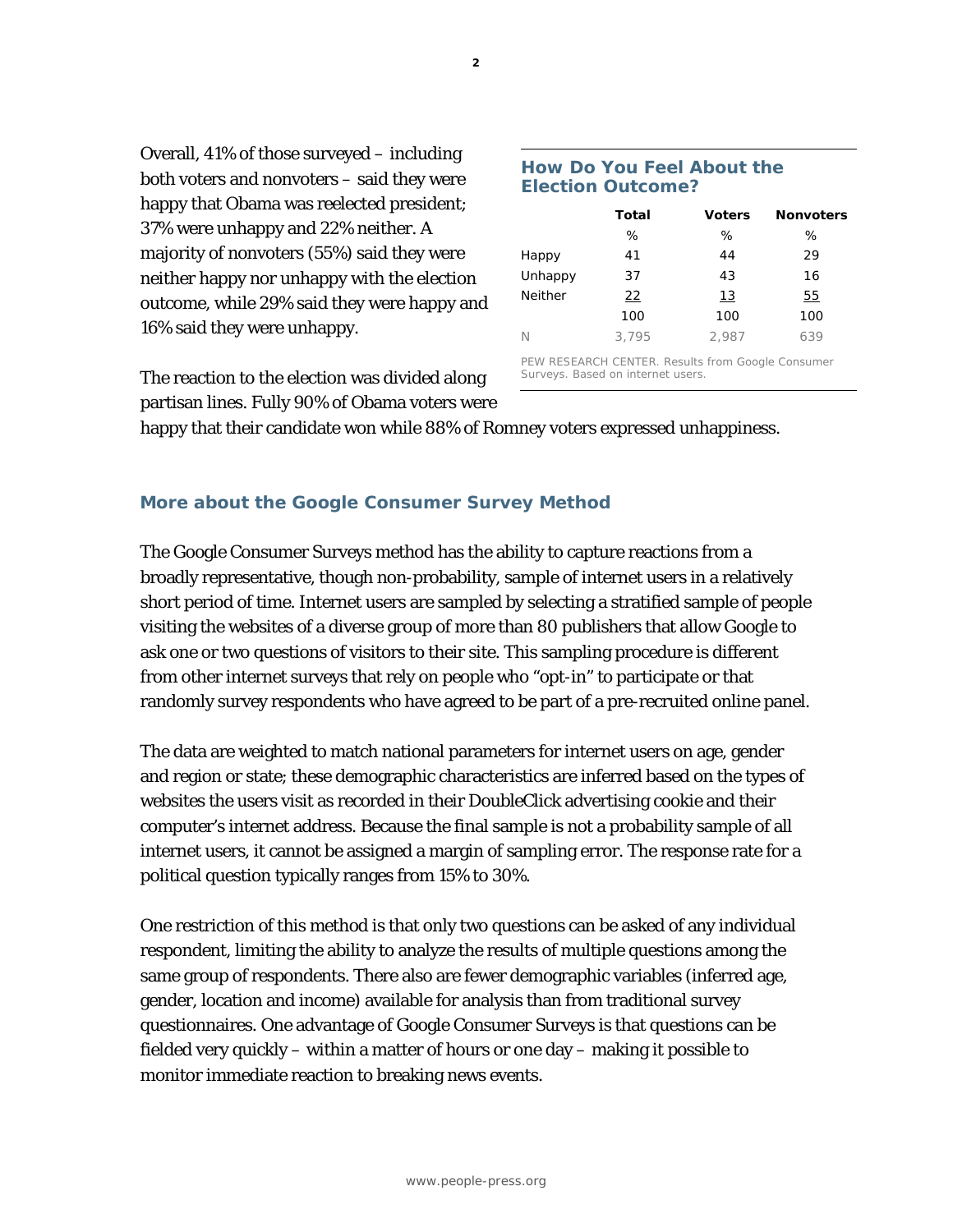happy that Obama was reelected president; 37% were unhappy and 22% neither. A majority of nonvoters (55%) said they were neither happy nor unhappy with the election outcome, while 29% said they were happy and

16% said they were unhappy.

Overall, 41% of those surveyed – including both voters and nonvoters – said they were

The reaction to the election was divided along partisan lines. Fully 90% of Obama voters were

### **How Do You Feel About the Election Outcome?**

|                | <b>Total</b> | <b>Voters</b> | <b>Nonvoters</b> |
|----------------|--------------|---------------|------------------|
|                | %            | %             | %                |
| Happy          | 41           | 44            | 29               |
| Unhappy        | 37           | 43            | 16               |
| <b>Neither</b> | $^{22}$      | <u> 13</u>    | 55               |
|                | 100          | 100           | 100              |
| N              | 3.795        | 2.987         | 639              |

PEW RESEARCH CENTER. Results from Google Consumer Surveys. Based on internet users.

happy that their candidate won while 88% of Romney voters expressed unhappiness.

# **More about the Google Consumer Survey Method**

The Google Consumer Surveys method has the ability to capture reactions from a broadly representative, though non-probability, sample of internet users in a relatively short period of time. Internet users are sampled by selecting a stratified sample of people visiting the websites of a diverse group of more than 80 publishers that allow Google to ask one or two questions of visitors to their site. This sampling procedure is different from other internet surveys that rely on people who "opt-in" to participate or that randomly survey respondents who have agreed to be part of a pre-recruited online panel.

The data are weighted to match national parameters for internet users on age, gender and region or state; these demographic characteristics are inferred based on the types of websites the users visit as recorded in their DoubleClick advertising cookie and their computer's internet address. Because the final sample is not a probability sample of all internet users, it cannot be assigned a margin of sampling error. The response rate for a political question typically ranges from 15% to 30%.

One restriction of this method is that only two questions can be asked of any individual respondent, limiting the ability to analyze the results of multiple questions among the same group of respondents. There also are fewer demographic variables (inferred age, gender, location and income) available for analysis than from traditional survey questionnaires. One advantage of Google Consumer Surveys is that questions can be fielded very quickly – within a matter of hours or one day – making it possible to monitor immediate reaction to breaking news events.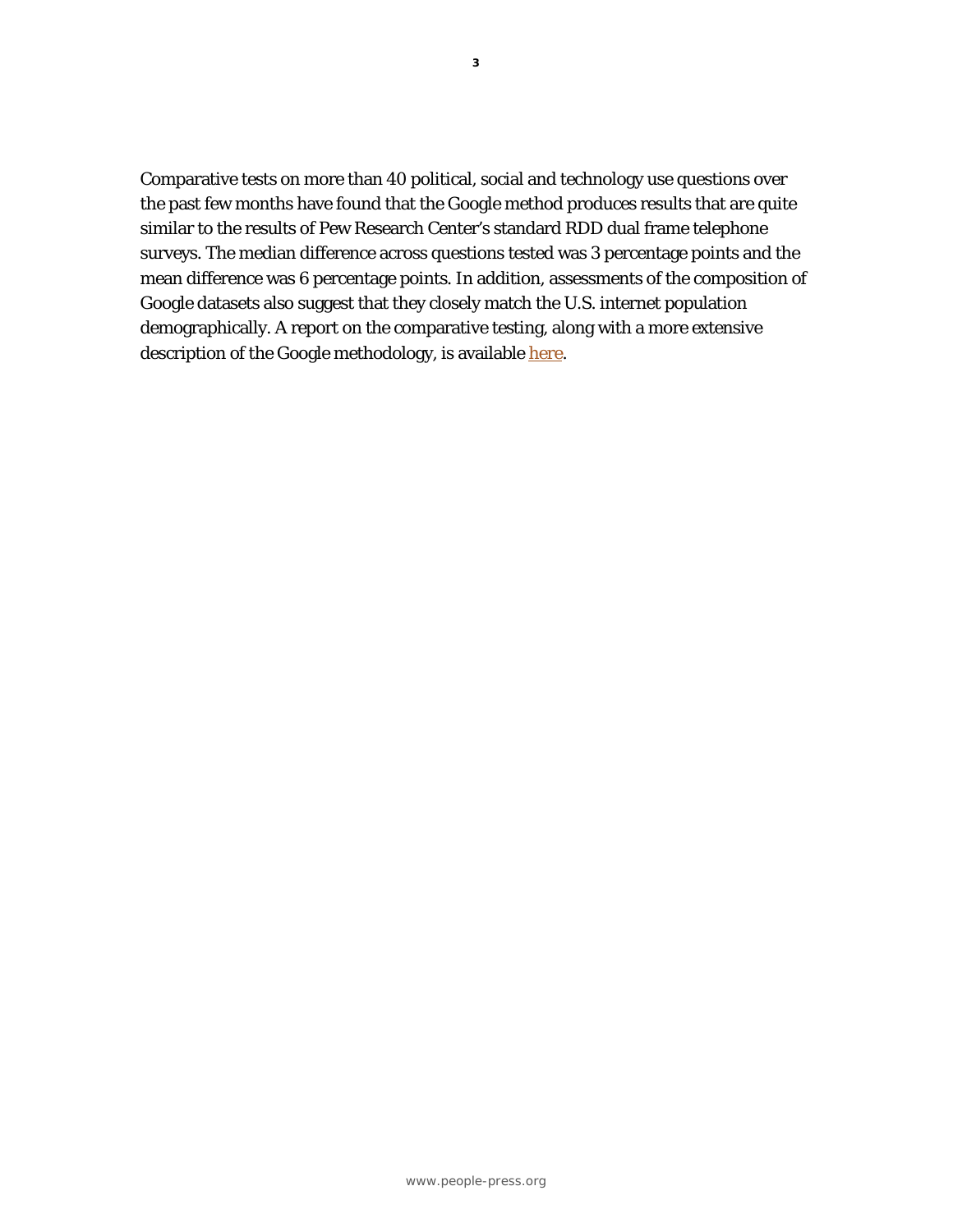Comparative tests on more than 40 political, social and technology use questions over the past few months have found that the Google method produces results that are quite similar to the results of Pew Research Center's standard RDD dual frame telephone surveys. The median difference across questions tested was 3 percentage points and the mean difference was 6 percentage points. In addition, assessments of the composition of Google datasets also suggest that they closely match the U.S. internet population demographically. A report on the comparative testing, along with a more extensive description of the Google methodology, is available [here.](http://www.people-press.org/2012/11/07/a-comparison-of-results-from-surveys-by-the-pew-research-center-and-google-consumer-surveys/)